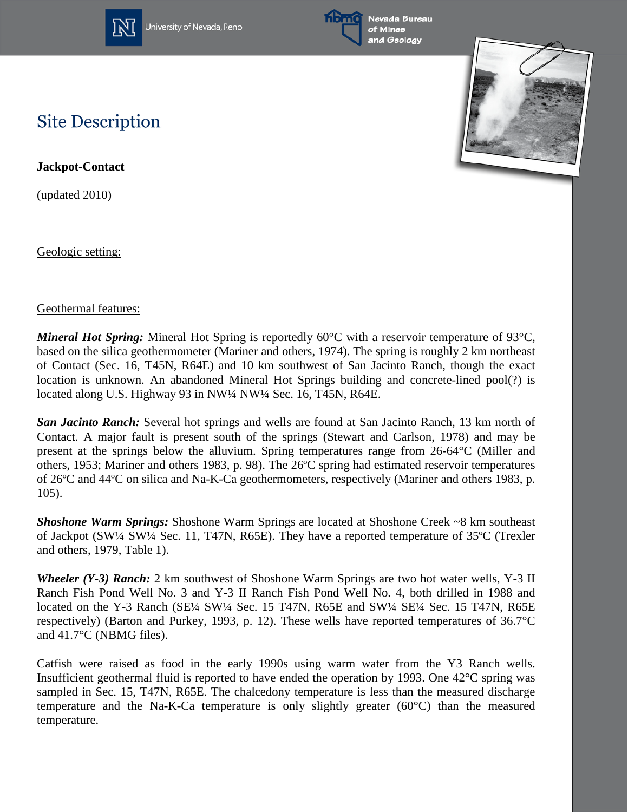

University of Nevada, Reno



Nevada Bureau and Geology



## **Site Description**

**Jackpot-Contact**

(updated 2010)

Geologic setting:

## Geothermal features:

*Mineral Hot Spring:* Mineral Hot Spring is reportedly 60°C with a reservoir temperature of 93°C, based on the silica geothermometer (Mariner and others, 1974). The spring is roughly 2 km northeast of Contact (Sec. 16, T45N, R64E) and 10 km southwest of San Jacinto Ranch, though the exact location is unknown. An abandoned Mineral Hot Springs building and concrete-lined pool(?) is located along U.S. Highway 93 in NW1/4 NW1/4 Sec. 16, T45N, R64E.

*San Jacinto Ranch:* Several hot springs and wells are found at San Jacinto Ranch, 13 km north of Contact. A major fault is present south of the springs (Stewart and Carlson, 1978) and may be present at the springs below the alluvium. Spring temperatures range from 26-64°C (Miller and others, 1953; Mariner and others 1983, p. 98). The 26ºC spring had estimated reservoir temperatures of 26ºC and 44ºC on silica and Na-K-Ca geothermometers, respectively (Mariner and others 1983, p. 105).

*Shoshone Warm Springs:* Shoshone Warm Springs are located at Shoshone Creek ~8 km southeast of Jackpot (SW¼ SW¼ Sec. 11, T47N, R65E). They have a reported temperature of 35ºC (Trexler and others, 1979, Table 1).

*Wheeler (Y-3) Ranch:* 2 km southwest of Shoshone Warm Springs are two hot water wells, Y-3 II Ranch Fish Pond Well No. 3 and Y-3 II Ranch Fish Pond Well No. 4, both drilled in 1988 and located on the Y-3 Ranch (SE¼ SW¼ Sec. 15 T47N, R65E and SW¼ SE¼ Sec. 15 T47N, R65E respectively) (Barton and Purkey, 1993, p. 12). These wells have reported temperatures of 36.7°C and 41.7°C (NBMG files).

Catfish were raised as food in the early 1990s using warm water from the Y3 Ranch wells. Insufficient geothermal fluid is reported to have ended the operation by 1993. One 42°C spring was sampled in Sec. 15, T47N, R65E. The chalcedony temperature is less than the measured discharge temperature and the Na-K-Ca temperature is only slightly greater (60°C) than the measured temperature.